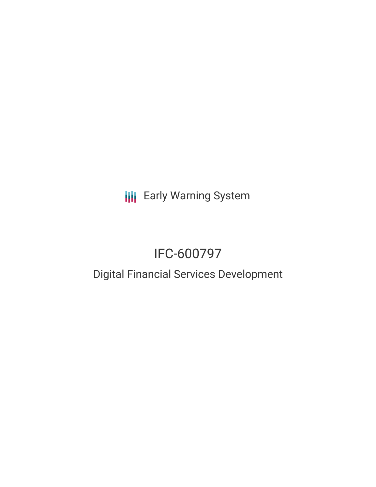**III** Early Warning System

# IFC-600797

# Digital Financial Services Development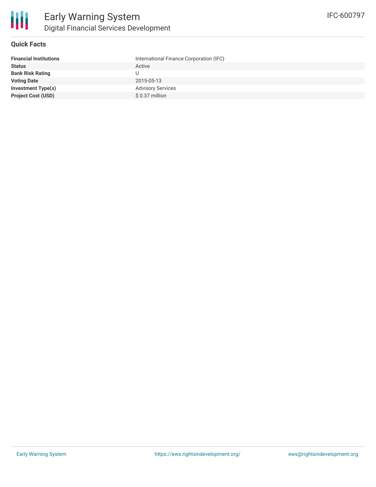

# **Quick Facts**

| <b>Financial Institutions</b> | International Finance Corporation (IFC) |
|-------------------------------|-----------------------------------------|
| <b>Status</b>                 | Active                                  |
| <b>Bank Risk Rating</b>       |                                         |
| <b>Voting Date</b>            | 2015-05-13                              |
| <b>Investment Type(s)</b>     | <b>Advisory Services</b>                |
| <b>Project Cost (USD)</b>     | \$0.37 million                          |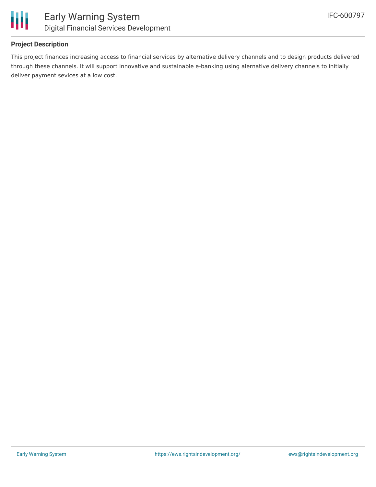

# **Project Description**

This project finances increasing access to financial services by alternative delivery channels and to design products delivered through these channels. It will support innovative and sustainable e-banking using alernative delivery channels to initially deliver payment sevices at a low cost.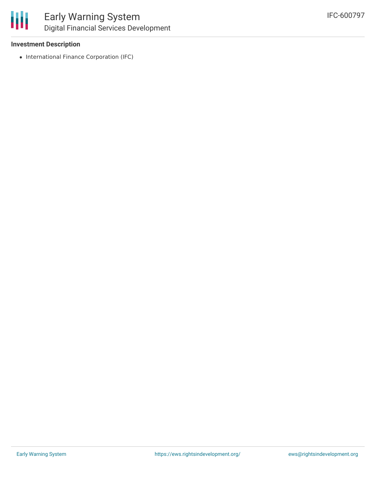

### **Investment Description**

• International Finance Corporation (IFC)